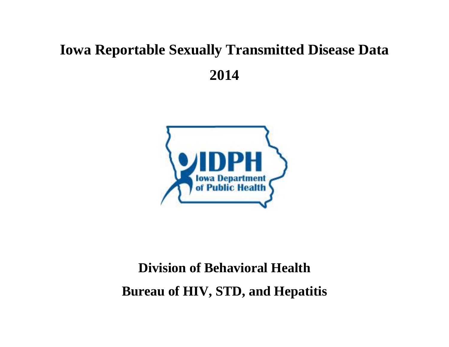## **Iowa Reportable Sexually Transmitted Disease Data 2014**



## **Division of Behavioral Health Bureau of HIV, STD, and Hepatitis**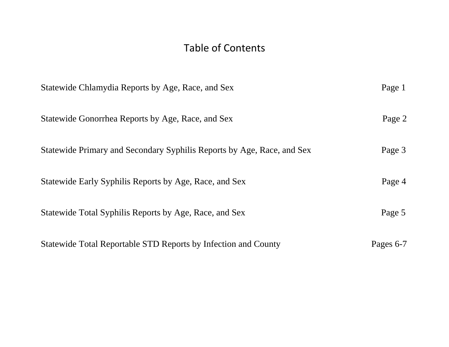## Table of Contents

| Statewide Chlamydia Reports by Age, Race, and Sex                      | Page 1    |
|------------------------------------------------------------------------|-----------|
| Statewide Gonorrhea Reports by Age, Race, and Sex                      | Page 2    |
| Statewide Primary and Secondary Syphilis Reports by Age, Race, and Sex | Page 3    |
| Statewide Early Syphilis Reports by Age, Race, and Sex                 | Page 4    |
| Statewide Total Syphilis Reports by Age, Race, and Sex                 | Page 5    |
| Statewide Total Reportable STD Reports by Infection and County         | Pages 6-7 |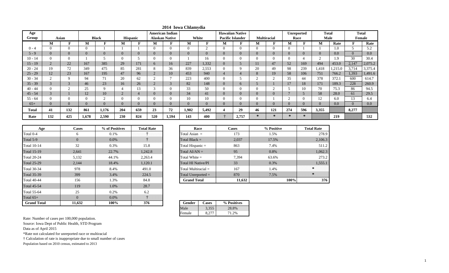| Age<br>Group |                            | Asian          |          | <b>Black</b>   |                | Hispanic       |          | <b>American Indian</b><br><b>Alaskan Native</b> | White    |          |                  | <b>Hawaiian Native</b><br><b>Pacific Islander</b> |                | <b>Multiracial</b> |                | <b>Unreported</b><br>Race | Male     | Total  |          | <b>Total</b><br><b>Female</b> |
|--------------|----------------------------|----------------|----------|----------------|----------------|----------------|----------|-------------------------------------------------|----------|----------|------------------|---------------------------------------------------|----------------|--------------------|----------------|---------------------------|----------|--------|----------|-------------------------------|
|              | М                          | ю              | M        | T.             | M              | $\mathbf{F}$   | М        | F                                               | М        | F        | M                | F                                                 | M              | тa                 | M              | ∽                         | M        | Rate   | F        | Rate                          |
| $0 - 4$      | 0                          |                | $\Omega$ |                |                |                | $\Omega$ | 0                                               | 0        | $\sim$   | $\Omega$         | $\Omega$                                          | $\Omega$       |                    | $\Omega$       |                           |          | 1.0    | 5        | 5.2                           |
| $5 - 9$      | $\overline{0}$             | $\overline{0}$ | $\Omega$ | $\overline{0}$ | $\overline{0}$ | $\overline{0}$ | $\Omega$ | $\overline{0}$                                  | $\Omega$ | $\Omega$ | $\boldsymbol{0}$ |                                                   | $\overline{0}$ |                    | $\overline{0}$ | $\Omega$                  | $\Omega$ | 0.0    | $\Omega$ | 0.0                           |
| $10 - 14$    | 0                          |                |          |                | $\Omega$       | 5              | $\Omega$ |                                                 |          | 16       | $\Omega$         |                                                   |                |                    | $\theta$       |                           |          | 1.9    | 30       | 30.4                          |
| $15 - 19$    | $\bigcap$<br>$\mathcal{L}$ | 22             | 167      | 385            | 29             | 171            | $\sigma$ | 16                                              | 227      | 1,332    | $\mathbf{0}$     |                                                   | 11             | 47                 | 52             | 169                       | 494      | 453.0  | 2,147    | 2,075.2                       |
| $20 - 24$    | 19                         | 72             | 349      | 475            | 85             | 281            | 8        | 36                                              | 839      | 2,553    | $\theta$         | Q                                                 | 20             | 49                 | 98             | 239                       | 1,418    | ,215.0 | 3,714    | 3,375.4                       |
| $25 - 29$    | 12                         | 23             | 167      | 195            | 47             | 96             |          | 10                                              | 453      | 940      | $\overline{4}$   | 4                                                 | 8              | 19                 | 58             | 106                       | 751      | 766.2  | 1,393    | 1,491.6                       |
| $30 - 34$    | ∠                          |                | 94       | 71             | 20             | 62             |          |                                                 | 223      | 400      | $\theta$         |                                                   |                |                    | 35             | 44                        | 378      | 372.1  | 600      | 614.7                         |
| $35 - 39$    | $\Omega$                   | 3              | 46       | 23             | 16             | 26             | $\sim$   | 3                                               | 82       | 148      | $\mathbf{0}$     | 6                                                 |                |                    | 17             | 18                        | 171      | 189.3  | 228      | 260.9                         |
| $40 - 44$    | U                          |                | 25       | $\mathbf Q$    |                | 13             |          |                                                 | 33       | 50       | $\Omega$         | $\theta$                                          |                |                    |                | 10                        | 70       | 75.3   | 86       | 94.5                          |
| $45 - 54$    | $\sim$                     |                | 12       | 10             | $\overline{2}$ | 4              | $\Omega$ | $\overline{0}$                                  | 34       | 41       | $\mathbf{0}$     | $\overline{0}$                                    | $\overline{0}$ |                    | $\overline{a}$ |                           | 58       | 28.0   | 61       | 29.5                          |
| $55 - 64$    | 0                          |                | $\theta$ | $\sim$         | $\Omega$       | $\Omega$       |          |                                                 | 10       | 10       | $\Omega$         |                                                   |                |                    | $\sim$         | $\Omega$                  | 12       | 6.0    | 13       | 6.4                           |
| $65+$        | $\Omega$                   | $\Omega$       | $\Omega$ | $\Omega$       | $\Omega$       | $\Omega$       | $\Omega$ | $\Omega$                                        | $\Omega$ | $\Omega$ | $\theta$         |                                                   | $\Omega$       |                    | $\Omega$       | $\Omega$                  | $\Omega$ | 0.0    | $\Omega$ | 0.0                           |
| Total        | 41                         | 132            | 861      | 1,176          | 204            | 659            | 23       | 72                                              | 1,902    | 5,492    | 4                | 29                                                | 46             | 121                | 274            | 596                       | 3,355    |        | 8,277    |                               |
| Rate         | 132                        | 425            | 1,678    | 2,590          | 230            | 824            | 520      | 1,594                                           | 143      | 400      |                  | 2,757                                             | $\ast$         | $\ast$             | $\ast$         |                           |          | 219    |          | 532                           |

| Age                | <b>Cases</b>   | % of Positives | <b>Total Rate</b> | Race                      |              | <b>Cases</b> |
|--------------------|----------------|----------------|-------------------|---------------------------|--------------|--------------|
| Total 0-4          | 6              | 0.1%           |                   | Total Asian $=$           |              | 173          |
| Total 5-9          | $\overline{0}$ | $0.0\%$        |                   | Total Black $=$           |              | 2,037        |
| <b>Total 10-14</b> | 32             | 0.3%           | 15.8              | Total Hispanic $=$        |              | 863          |
| <b>Total 15-19</b> | 2,641          | 22.7%          | 1,242.8           | Total $AI/AN =$           |              | 95           |
| <b>Total 20-24</b> | 5,132          | 44.1%          | 2,263.4           | Total White $=$           |              | 7,394        |
| <b>Total 25-29</b> | 2,144          | 18.4%          | 1,120.1           | <b>Total HI Native/PI</b> |              | 33           |
| <b>Total 30-34</b> | 978            | 8.4%           | 491.0             | Total Multiracial $=$     |              | 167          |
| <b>Total 35-39</b> | 399            | 3.4%           | 224.5             | Total Unreported $=$      |              | 870          |
| <b>Total 40-44</b> | 156            | 1.3%           | 84.8              | <b>Grand Total</b>        |              | 11,632       |
| <b>Total 45-54</b> | 119            | 1.0%           | 28.7              |                           |              |              |
| <b>Total 55-64</b> | 25             | 0.2%           | 6.2               |                           |              |              |
| Total $65+$        | $\theta$       | $0.0\%$        |                   |                           |              |              |
| <b>Grand Total</b> | 11,632         | 100%           | 376               | Gender                    | <b>Cases</b> | % Positives  |

| Age | Cases    | % of Positives | <b>Total Rate</b> | Race                      | <b>Cases</b> | % Positive | <b>Total Rate</b> |
|-----|----------|----------------|-------------------|---------------------------|--------------|------------|-------------------|
|     | 6.       | 0.1%           |                   | Total Asian $=$           | 173          | 1.5%       | 278.9             |
|     | $\Omega$ | $0.0\%$        |                   | Total Black $=$           | 2,037        | 17.5%      | 2,106.3           |
|     | 32       | 0.3%           | 15.8              | Total Hispanic $=$        | 863          | 7.4%       | 511.2             |
|     | 2,641    | 22.7%          | 1,242.8           | Total $AI/AN =$           | 95           | 0.8%       | 1,062.3           |
|     | 5,132    | 44.1%          | 2,263.4           | Total White $=$           | 7,394        | 63.6%      | 273.2             |
|     | 2,144    | 18.4%          | 1,120.1           | <b>Total HI Native/PI</b> | 33           | 0.3%       | 1,555.1           |
|     | 978      | 8.4%           | 491.0             | Total Multiracial $=$     | 167          | 1.4%       |                   |
|     | 399      | 3.4%           | 224.5             | Total Unreported $=$      | 870          | 7.5%       |                   |
|     | 156      | 1.3%           | 84.8              | <b>Grand Total</b>        | 11,632       | 100%       | 376               |

| Gender | Cases | % Positives |
|--------|-------|-------------|
| 4ale   | 3.352 | 28.8%       |
| Female |       | .2%         |

Source: Iowa Dept of Public Health, STD Program

Data as of April 2015

\*Rate not calculated for unreported race or multiracial

† Calculation of rate is inappropriate due to small number of cases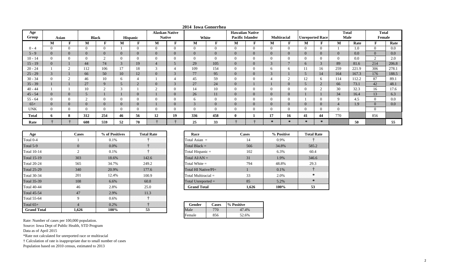| Age          |              |                |                |                |           |          | <b>Alaskan Native</b> |                            |                |                | <b>Hawaiian Native</b>  |          |                            |                    |                        |              | <b>Total</b>   |       | <b>Total</b>   |         |
|--------------|--------------|----------------|----------------|----------------|-----------|----------|-----------------------|----------------------------|----------------|----------------|-------------------------|----------|----------------------------|--------------------|------------------------|--------------|----------------|-------|----------------|---------|
| Group        | Asian        |                |                | <b>Black</b>   |           | Hispanic | <b>Native</b>         |                            |                | White          | <b>Pacific Islander</b> |          |                            | <b>Multiracial</b> | <b>Unreported Race</b> |              | <b>Male</b>    |       | Female         |         |
|              | M            |                | M              |                | М         |          | M                     |                            | М              | ю              | М                       |          | М                          | F                  | М                      |              | M              | Rate  |                | Rate    |
| $0 - 4$      |              | $\Omega$       |                | $\overline{0}$ |           |          | $\overline{0}$        | $\theta$                   | $\Omega$       | $\overline{0}$ |                         |          | $\Omega$                   | $\Omega$           | $\Omega$               | $\Omega$     |                | 1.0   | $\Omega$       | 0.0     |
| $5 - 9$      |              | $\overline{0}$ | $\overline{0}$ | $\overline{0}$ |           |          | $\mathbf{0}$          | $\theta$                   | $\overline{0}$ | $\overline{0}$ |                         |          | $\overline{0}$             | $\overline{0}$     | $\Omega$               | $\Omega$     | $\overline{0}$ | 0.0   |                | $0.0\,$ |
| $10 - 14$    |              | $\theta$       |                | $\sim$         |           |          | $\theta$              | $\Omega$                   |                | $\Omega$       |                         |          | $\Omega$                   |                    |                        |              | $\overline{0}$ | 0.0   | $\overline{2}$ | 2.0     |
| $15 - 19$    |              |                | 44             | 74             | $\bigcap$ | 19       | $\overline{4}$        | 5                          | 29             | 105            | U                       | $\Omega$ | $\Omega$<br>$\mathcal{L}$  | $\overline{ }$     | 6                      | $\bigcap$    | 89             | 81.6  | 214            | 206.8   |
| $20 - 24$    |              | $\sim$         | 112            | 106            | 17        | 18       | 3                     |                            | 109            | 154            |                         |          | <sub>6</sub>               | 6                  |                        | 16           | 259            | 221.9 | 306            | 278.1   |
| $25 - 29$    | 3            |                | 66             | 50             | 10        | 12       | $\overline{0}$        | $\Omega$<br>$\mathfrak{I}$ | 77             | 95             | U                       | $\Omega$ | $\Omega$<br>$\mathfrak{I}$ |                    |                        | 14           | 164            | 167.3 | 176            | 188.5   |
| $30 - 34$    |              | $\sim$         | 46             | 10             |           |          |                       | 4                          | 45             | 59             |                         |          |                            | $\overline{2}$     | 12                     | <sub>6</sub> | 114            | 112.2 | 87             | 89.1    |
| $35 - 39$    |              |                | 27             | 9              |           | ∠        | $\overline{0}$        | $\Omega$<br>$\mathcal{L}$  | 27             | 24             | U                       |          |                            | v                  |                        | $\sim$       | 66             | 73.1  | 42             | 48.1    |
| $40 - 44$    |              |                | 10             | $\sim$         | $\sim$    |          | $\sim$<br>∠           | 0                          | 14             | 10             |                         |          | $\Omega$                   |                    |                        | $\sqrt{2}$   | 30             | 32.3  | 16             | 17.6    |
| $45 - 54$    |              | $\overline{0}$ |                |                |           | v        |                       | $\overline{0}$             | 26             | 11             | U                       |          | $\overline{0}$             | v                  |                        |              | 34             | 16.4  | 13             | 6.3     |
| $55 - 64$    |              | $\Omega$       | $\sim$         | $\overline{0}$ |           |          | $\overline{0}$        | $\overline{0}$             | 6              | $\overline{0}$ |                         |          | $\Omega$                   |                    |                        | $\Omega$     | 9              | 4.5   | $\Omega$       | 0.0     |
| $65+$        |              | $\overline{0}$ | $\overline{0}$ | $\mathbf{0}$   |           | v        |                       | $\overline{0}$             | $\sim$         | $\overline{0}$ | U                       |          | $\overline{0}$             | $\overline{0}$     | $\Omega$               | $\Omega$     | $\overline{4}$ | 1.9   | $\mathbf{U}$   | 0.0     |
| <b>UNK</b>   |              | $\overline{0}$ |                | $\overline{0}$ |           |          | $\theta$              | $\overline{0}$             |                | $\overline{0}$ |                         |          | $\Omega$                   |                    | $\Omega$               | $\Omega$     | $\overline{0}$ |       | U              |         |
| <b>Total</b> | $\mathbf{p}$ | 8              | 312            | 254            | 46        | 56       | 12                    | 19                         | 336            | 458            |                         |          | 17                         | 16                 | 41                     | 44           | 770            |       | 856            |         |
| Rate         |              |                | 608            | 559            | 52        | 70       |                       |                            | 25             | 33             |                         |          | $\rightarrow$              | $\rightarrow$      |                        |              |                | 50    |                | 55      |

**2014 Iowa Gonorrhea**

| Age                | <b>Cases</b>   | % of Positives | <b>Total Rate</b> | Race                  | <b>Cases</b>            |            |  |
|--------------------|----------------|----------------|-------------------|-----------------------|-------------------------|------------|--|
| Total 0-4          |                | $0.1\%$        |                   | Total Asian $=$       | 14                      |            |  |
| Total 5-9          | $\overline{0}$ | $0.0\%$        |                   | Total Black $=$       |                         | 566        |  |
| <b>Total 10-14</b> | 2              | $0.1\%$        |                   | Total Hispanic $=$    |                         | 102        |  |
| <b>Total 15-19</b> | 303            | 18.6%          | 142.6             | Total $AI/AN =$       |                         | 31         |  |
| <b>Total 20-24</b> | 565            | 34.7%          | 249.2             | Total White $=$       | 794                     |            |  |
| <b>Total 25-29</b> | 340            | 20.9%          | 177.6             |                       | Total HI Native/ $PI =$ |            |  |
| Total 30-34        | 201            | 12.4%          | 100.9             | Total Multiracial $=$ |                         | 33         |  |
| Total 35-39        | 108            | $6.6\%$        | 60.8              | Total Unreported $=$  |                         | 85         |  |
| <b>Total 40-44</b> | 46             | 2.8%           | 25.0              | <b>Grand Total</b>    |                         | 1,626      |  |
| <b>Total 45-54</b> | 47             | 2.9%           | 11.3              |                       |                         |            |  |
| Total 55-64        | 9              | $0.6\%$        |                   |                       |                         |            |  |
| Total $65+$        | $\overline{4}$ | $0.2\%$        |                   | Gender                | Cases                   | % Positive |  |
| <b>Grand Total</b> | 1,626          | 100%           | 53                | Male                  | 770                     | 47.4%      |  |

| Race                    | <b>Cases</b> | % Positive | <b>Total Rate</b> |
|-------------------------|--------------|------------|-------------------|
| Total Asian $=$         | 14           | 0.9%       |                   |
| Total Black $=$         | 566          | 34.8%      | 585.2             |
| Total Hispanic $=$      | 102          | 6.3%       | 60.4              |
| Total $AI/AN =$         | 31           | 1.9%       | 346.6             |
| Total White $=$         | 794          | 48.8%      | 29.3              |
| Total HI Native/ $PI =$ |              | $0.1\%$    |                   |
| Total Multiracial $=$   | 33           | 2.0%       |                   |
| Total Unreported $=$    | 85           | 5.2%       |                   |
| <b>Grand Total</b>      | 1,626        | 100%       | 53                |

| Gender | Cases | % Positive |
|--------|-------|------------|
| Male   |       | 17.4%      |
| Female |       | 52.6%      |

Rate: Number of cases per 100,000 population. Source: Iowa Dept of Public Health, STD Program

Data as of April 2015

\*Rate not calculated for unreported race or multiracial

† Calculation of rate is inappropriate due to small number of cases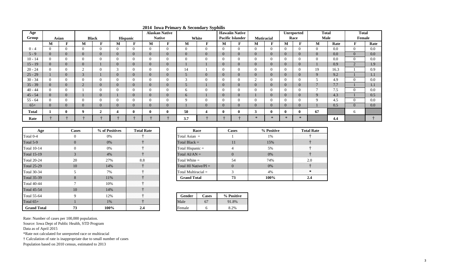| Age          |               |                |                |                  |                |                |                  | . . <b>. .</b> _ _ _______ <sub>_</sub> ,<br><b>Alaskan Native</b> |                | $\cdots$ $\cdots$ $\cdots$ $\cdots$ $\cdots$ $\cdots$ |                | <b>Hawaiin Native</b>   |                |                |              | Unreported   | <b>Total</b>   |      | <b>Total</b>   |         |
|--------------|---------------|----------------|----------------|------------------|----------------|----------------|------------------|--------------------------------------------------------------------|----------------|-------------------------------------------------------|----------------|-------------------------|----------------|----------------|--------------|--------------|----------------|------|----------------|---------|
| Group        |               | Asian          |                | <b>Black</b>     |                | Hispanic       |                  | <b>Native</b>                                                      |                | White                                                 |                | <b>Pacific Islander</b> | Mutiracial     |                |              | Race         | <b>Male</b>    |      | Female         |         |
|              | M             | F              | M              | $\mathbf{F}$     | М              | F              | M                | Ð                                                                  | M              | $\mathbf{F}$                                          | М              | F                       | M              | m              | M            | -            | M              | Rate |                | Rate    |
| $0 - 4$      | $\Omega$      | $\overline{0}$ | $\mathbf{0}$   | $\overline{0}$   |                | $\theta$       | $\Omega$         | $\mathbf{0}$                                                       | $\overline{0}$ | $\overline{0}$                                        | $\Omega$       | $\Omega$                | $\overline{0}$ |                | $\Omega$     |              | $\Omega$       | 0.0  | $\Omega$       | $0.0\,$ |
| $5 - 9$      | $\mathbf{U}$  | $\overline{0}$ | $\overline{0}$ | $\overline{0}$   |                | $\overline{0}$ | $\overline{0}$   | $\mathbf{0}$                                                       | $\mathbf{0}$   | $\overline{0}$                                        | $\overline{0}$ | $\overline{0}$          | $\overline{0}$ | $\overline{0}$ | $\Omega$     |              | $\overline{0}$ | 0.0  | $\Omega$       | 0.0     |
| $10 - 14$    | $\mathbf{0}$  | $\theta$       | $\theta$       | $\mathbf{0}$     |                |                | 0                | $\bf{0}$                                                           | $\overline{0}$ | $\mathbf{0}$                                          |                | $\Omega$                | $\theta$       |                | $\Omega$     |              | $\theta$       | 0.0  | $\Omega$       | 0.0     |
| $15 - 19$    | $\mathbf{U}$  | $\overline{0}$ | $\overline{0}$ |                  |                | $\overline{0}$ | $\overline{0}$   | $\mathbf{0}$                                                       |                |                                                       | $\Omega$       | $\overline{0}$          | $\overline{0}$ |                |              |              |                | 0.9  | $\Omega$       | 1.9     |
| $20 - 24$    | $\mathbf{0}$  | $\overline{0}$ | $\mathcal{D}$  | $\boldsymbol{0}$ | $\overline{ }$ | 0              | $\left( \right)$ | $\mathbf{0}$                                                       | 14             |                                                       |                | $\Omega$                | $\mathbf{0}$   |                | $\Omega$     |              | 19             | 16.3 |                | 0.9     |
| $25 - 29$    |               | $\overline{0}$ | 3              |                  |                | $\overline{0}$ | $\overline{0}$   | $\overline{0}$                                                     | 5              | $\mathbf{0}$                                          | $\overline{0}$ | $\overline{0}$          | $\overline{0}$ |                | $\Omega$     |              | 9              | 9.2  |                | 1.1     |
| $30 - 34$    | $\Omega$      | $\overline{0}$ | $\theta$       | $\boldsymbol{0}$ |                |                |                  | $\mathbf{0}$                                                       | 3              | $\mathbf{0}$                                          |                | $\theta$                | $\bigcap$<br>∸ |                | $\Omega$     |              |                | 4.9  | $\overline{0}$ | 0.0     |
| $35 - 39$    | $\Omega$      | $\overline{0}$ | $\overline{2}$ | $\overline{0}$   |                | $\overline{0}$ | $\overline{0}$   | $\mathbf{0}$                                                       | $\mathcal{D}$  |                                                       | $\overline{0}$ | $\overline{0}$          | $\overline{0}$ | $\overline{0}$ | $\Omega$     |              |                | 7.7  |                | 1.1     |
| $40 - 44$    |               | $\overline{0}$ |                | $\mathbf{0}$     |                |                | 0                | $\mathbf{0}$                                                       | b              | $\mathbf{0}$                                          |                | $\Omega$                | $\theta$       |                | $\Omega$     |              |                | 7.5  | $\Omega$       | 0.0     |
| $45 - 54$    | $\theta$      | $\overline{0}$ |                | $\overline{0}$   |                | $\overline{0}$ | $\overline{0}$   | $\overline{0}$                                                     | 6              |                                                       | $\theta$       | $\overline{0}$          |                | $\overline{0}$ | $\Omega$     |              | $\mathbf Q$    | 4.3  |                | 0.5     |
| $55 - 64$    |               | $\theta$       | $\theta$       | $\mathbf{0}$     |                |                | - 0              | $\mathbf{0}$                                                       | $\mathbf Q$    | $\mathbf{0}$                                          | $\Omega$       | $\Omega$                | $\Omega$       |                | $\Omega$     |              | Q              | 4.5  | $\Omega$       | 0.0     |
| $65+$        | $\mathcal{L}$ | $\overline{0}$ | $\overline{0}$ | $\overline{0}$   |                | $\overline{0}$ | $\overline{0}$   | $\mathbf{0}$                                                       |                | $\overline{0}$                                        | $\overline{0}$ | $\Omega$                | $\overline{0}$ | $\overline{0}$ | $\Omega$     |              |                | 0.5  | $\overline{0}$ | 0.0     |
| <b>Total</b> |               | $\mathbf{0}$   | 9              | $\overline{2}$   | 4              | 0              |                  | $\bf{0}$                                                           | 50             | 4                                                     |                | $\bf{0}$                | 3              |                | $\mathbf{0}$ |              | 67             |      | 6              |         |
| Rate         |               |                |                |                  |                |                |                  |                                                                    | 3.7            |                                                       |                |                         | $\rightarrow$  | $\star$        |              | $\mathbf{k}$ |                | 4.4  |                |         |

**2014 Iowa Primary & Secondary Syphilis**

| Age                | <b>Cases</b>   | % of Positives | <b>Total Rate</b> |                       | Race                    | <b>Cases</b>   |
|--------------------|----------------|----------------|-------------------|-----------------------|-------------------------|----------------|
| Total 0-4          | $\overline{0}$ | 0%             |                   | Total Asian $=$       |                         |                |
| Total 5-9          | $\overline{0}$ | $0\%$          |                   | Total Black $=$       | 11                      |                |
| <b>Total 10-14</b> | $\theta$       | 0%             |                   | Total Hispanic $=$    |                         |                |
| <b>Total 15-19</b> | 3              | 4%             |                   | Total $AI/AN =$       |                         | $\overline{0}$ |
| <b>Total 20-24</b> | 20             | 27%            | 8.8               | Total White $=$       | 54                      |                |
| <b>Total 25-29</b> | 10             | 14%            |                   |                       | Total HI Native/ $PI =$ |                |
| <b>Total 30-34</b> | 5              | 7%             |                   | Total Multiracial $=$ |                         | 3              |
| <b>Total 35-39</b> | 8              | 11%            |                   | <b>Grand Total</b>    |                         | 73             |
| <b>Total 40-44</b> |                | 10%            |                   |                       |                         |                |
| <b>Total 45-54</b> | 10             | 14%            |                   |                       |                         |                |
| <b>Total 55-64</b> | 9              | 12%            |                   | Gender                | Cases                   | % Positive     |
| Total $65+$        |                | 1%             |                   | Male                  | 67                      | 91.8%          |
| <b>Grand Total</b> | 73             | 100%           | 2.4               | Female                | 6                       | 8.2%           |

| <b>ositives</b> | <b>Total Rate</b> | Race                    | Cases | % Positive | <b>Total Rate</b> |
|-----------------|-------------------|-------------------------|-------|------------|-------------------|
| %               |                   | Total Asian $=$         |       | 1%         |                   |
| %               |                   | Total Black $=$         |       | 15%        |                   |
| %               |                   | Total Hispanic =        |       | 5%         |                   |
| %               |                   | Total $AI/AN =$         |       | $0\%$      |                   |
| 7%              |                   | Total White $=$         | 54    | 74%        |                   |
| 1%              |                   | Total HI Native/ $PI =$ |       | $0\%$      | .                 |
| %               |                   | Total Multiracial $=$   |       | 4%         |                   |
| $\frac{0}{6}$   |                   | <b>Grand Total</b>      |       | 100%       |                   |

| 7. | Gender | Cases | % Positive |
|----|--------|-------|------------|
|    | 1ale   |       |            |
| 4  | Female |       |            |

Source: Iowa Dept of Public Health, STD Program

Data as of April 2015

\*Rate not calculated for unreported race or multiracial

† Calculation of rate is inappropriate due to small number of cases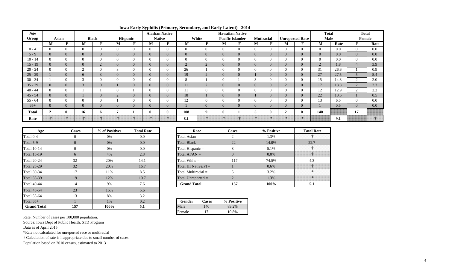| Age       |                |                |                |                |              |                |                | <b>Alaskan Native</b> |                |                |                | <b>Hawaiian Native</b>  |                          |               |                |                        | <b>Total</b>   |      | <b>Total</b>   |         |
|-----------|----------------|----------------|----------------|----------------|--------------|----------------|----------------|-----------------------|----------------|----------------|----------------|-------------------------|--------------------------|---------------|----------------|------------------------|----------------|------|----------------|---------|
| Group     |                | Asian          |                | <b>Black</b>   |              | Hispanic       | <b>Native</b>  |                       |                | White          |                | <b>Pacific Islander</b> | <b>Mutiracial</b>        |               |                | <b>Unreported Race</b> | <b>Male</b>    |      | Female         |         |
|           | M              | T.<br>F        | M              | F              | M            | $\mathbf{F}$   | M              | F                     | М              | $\mathbf{F}$   | M              | ю                       | M                        | F             | M              | F                      | M              | Rate | ю              | Rate    |
| $0 - 4$   |                | $\Omega$       | $\Omega$       | $\mathbf{0}$   | $\Omega$     | $\Omega$       | $\overline{0}$ | $\overline{0}$        | $\theta$       | $\overline{0}$ | $\theta$       | $\Omega$                | $\Omega$                 | $\Omega$      | $\theta$       | $\Omega$               | $\Omega$       | 0.0  | $\Omega$       | 0.0     |
| $5 - 9$   |                | $\mathbf{0}$   | $\overline{0}$ | $\mathbf{0}$   | $\Omega$     | $\overline{0}$ | $\overline{0}$ | $\overline{0}$        | $\overline{0}$ | $\overline{0}$ | $\Omega$       |                         | $\overline{0}$           | $\Omega$      | $\overline{0}$ | $\overline{0}$         | $\overline{0}$ | 0.0  | $\overline{0}$ | 0.0     |
| $10 - 14$ |                | $\Omega$       | $\Omega$       | $\overline{0}$ |              | $\Omega$       | $\Omega$       | $\overline{0}$        | $\Omega$       | $\overline{0}$ | $\Omega$       |                         | $\Omega$                 | $\Omega$      | $\Omega$       | $\theta$               | $\Omega$       | 0.0  | $\Omega$       | 0.0     |
| $15 - 19$ |                | $\mathbf{0}$   | $\overline{0}$ | $\overline{2}$ | $\cup$       | $\overline{0}$ | $\overline{0}$ | $\mathbf{0}$          | $\overline{2}$ | $\overline{2}$ | $\theta$       |                         | $\overline{0}$           |               | $\overline{0}$ | $\overline{0}$         | 2              | 1.8  | 4              | 3.9     |
| $20 - 24$ |                | $\Omega$       | $\bigcirc$     | $\overline{0}$ | $\mathbf{3}$ | $\Omega$       | $\theta$       | $\overline{0}$        | 26             |                | $\theta$       |                         | $\Omega$                 |               | $\Omega$       | $\theta$               | 31             | 26.6 |                | 0.9     |
| $25 - 29$ |                | $\overline{0}$ | 6              | $\overline{3}$ |              | $\overline{0}$ | $\overline{0}$ | $\mathbf{0}$          | 19             | 2              | $\overline{0}$ |                         |                          | $\Omega$      | $\overline{0}$ | $\overline{0}$         | 27             | 27.5 | $\mathcal{D}$  | 5.4     |
| $30 - 34$ |                | $\Omega$       | $\sim$         | $\overline{0}$ |              | $\Omega$       | $\theta$       | $\overline{0}$        | 8              |                | $\theta$       |                         | $\sim$<br>$\mathfrak{I}$ |               | $\Omega$       | $\overline{0}$         | 15             | 14.8 | $\sim$         | 2.0     |
| $35 - 39$ |                | $\mathbf{0}$   | 3              | $\overline{0}$ |              | $\overline{0}$ | $\overline{0}$ | $\mathbf{0}$          | 11             | $\overline{2}$ | $\theta$       | $\overline{0}$          | $\overline{0}$           |               | $\overline{2}$ | $\overline{0}$         | 17             | 18.8 | $\overline{2}$ | 2.3     |
| $40 - 44$ |                | $\Omega$       |                |                |              |                | $\Omega$       | $\theta$              | 11             | $\overline{0}$ | $\Omega$       |                         | $\Omega$                 |               | $\Omega$       | $\theta$               | 12             | 12.9 | $\sim$         | 2.2     |
| $45 - 54$ |                | $\mathbf{0}$   |                | $\mathbf{0}$   |              | $\overline{0}$ | $\overline{0}$ | $\mathbf{0}$          | 18             |                | $\theta$       |                         |                          |               | $\overline{0}$ | $\overline{0}$         | 22             | 10.6 |                | 0.5     |
| $55 - 64$ |                | $\Omega$       | $\Omega$       | $\overline{0}$ |              | $\Omega$       | $\Omega$       | $\overline{0}$        | 12             | $\overline{0}$ | $\Omega$       |                         | $\Omega$                 |               | $\Omega$       | $\theta$               | 13             | 6.5  | $\Omega$       | 0.0     |
| $65+$     |                | $\mathbf{0}$   | $\overline{0}$ | $\mathbf{0}$   | $\mathbf{0}$ | $\overline{0}$ | $\overline{0}$ | $\mathbf{0}$          |                | $\overline{0}$ | $\overline{0}$ |                         | $\overline{0}$           | $\Omega$      | $\overline{0}$ | $\overline{0}$         |                | 0.5  | $\overline{0}$ | $0.0\,$ |
| Total     | $\overline{2}$ | $\mathbf{0}$   | 16             | 6              |              |                | $\bf{0}$       | $\bf{0}$              | 108            | 9              | $\mathbf 0$    |                         |                          |               | $\overline{2}$ | $\bf{0}$               | 140            |      | 17             |         |
| Rate      |                |                |                |                |              |                |                |                       | 8.1            |                |                |                         | $\ast$                   | $\rightarrow$ | $\star$        | $\star$                |                | 9.1  |                |         |

**Iowa Early Syphilis (Primary, Secondary, and Early Latent) 2014**

| Age                | <b>Cases</b> | % of Positives | <b>Total Rate</b> |
|--------------------|--------------|----------------|-------------------|
| Total 0-4          | $\Omega$     | 0%             | 0.0               |
| Total 5-9          | $\Omega$     | 0%             | 0.0               |
| <b>Total 10-14</b> | $\theta$     | 0%             | 0.0               |
| <b>Total 15-19</b> | 6            | 4%             | 2.8               |
| <b>Total 20-24</b> | 32           | 20%            | 14.1              |
| <b>Total 25-29</b> | 32           | 20%            | 16.7              |
| <b>Total 30-34</b> | 17           | 11%            | 8.5               |
| <b>Total 35-39</b> | 19           | 12%            | 10.7              |
| <b>Total 40-44</b> | 14           | 9%             | 7.6               |
| <b>Total 45-54</b> | 23           | 15%            | 5.6               |
| <b>Total 55-64</b> | 13           | 8%             | 3.2               |
| Total $65+$        |              | 1%             | 0.2               |
| <b>Grand Total</b> | 157          | 100%           | 5.1               |

| ases | % of Positives | <b>Total Rate</b> | Race                    | <b>Cases</b> | % Positive |
|------|----------------|-------------------|-------------------------|--------------|------------|
|      | 0%             | 0.0               | Total Asian $=$         |              | 1.3%       |
|      | $0\%$          | 0.0               | Total Black $=$         | 22           | 14.0%      |
|      | 0%             | 0.0               | Total Hispanic $=$      |              | 5.1%       |
|      | $4\%$          | 2.8               | Total $AI/AN =$         | $\Omega$     | $0.0\%$    |
|      | 20%            | 14.1              | Total White $=$         | 117          | 74.5%      |
|      | 20%            | 16.7              | Total HI Native/ $PI =$ |              | 0.6%       |
|      | 11%            | 8.5               | Total Multiracial $=$   |              | 3.2%       |
|      | 12%            | 10.7              | Total Unreported $=$    |              | 1.3%       |
|      | 9%             | 7.6               | <b>Grand Total</b>      | 157          | 100%       |
|      |                |                   |                         |              |            |

|  | Gender | <b>Cases</b> | % Positive |
|--|--------|--------------|------------|
|  | Male   | 140          | 89.2%      |
|  | Female |              | 10.8%      |

Source: Iowa Dept of Public Health, STD Program

Data as of April 2015

\*Rate not calculated for unreported race or multiracial

† Calculation of rate is inappropriate due to small number of cases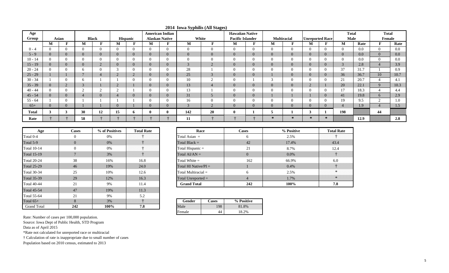| Age          |                |                    |                |                |                |                 | <b>American Indian</b> |                       | ี∙ ⊥           | <b>Hawaiian Native</b> |                         |              |                |                    |                          | <b>Total</b>           |                | <b>Total</b> |              |      |
|--------------|----------------|--------------------|----------------|----------------|----------------|-----------------|------------------------|-----------------------|----------------|------------------------|-------------------------|--------------|----------------|--------------------|--------------------------|------------------------|----------------|--------------|--------------|------|
| Group        |                | Asian              |                | <b>Black</b>   |                | <b>Hispanic</b> |                        | <b>Alaskan Native</b> | White          |                        | <b>Pacific Islander</b> |              |                | <b>Multiracial</b> |                          | <b>Unreported Race</b> | <b>Male</b>    |              | Female       |      |
|              | M              |                    | M              | Г              | M              |                 | M                      | m                     | M              |                        | M                       | $\mathbf{F}$ | M              | F                  | M                        | Е                      | M              | Rate         |              | Rate |
| $0 - 4$      |                | $\Omega$           | $\Omega$       | $\overline{0}$ | $\Omega$       | $\Omega$        | $\Omega$               | $\overline{0}$        | $\overline{0}$ |                        | $\Omega$                | U            | $\Omega$       | U                  | $\Omega$                 |                        | $\theta$       | 0.0          |              | 0.0  |
| $5 - 9$      | $\Omega$       | $\overline{0}$     | $\Omega$       | $\Omega$       | $\overline{0}$ | $\Omega$        | 0                      | $\mathbf{0}$          | $\overline{0}$ |                        | $\Omega$                | $\mathbf{U}$ | $\overline{0}$ | v                  | $\overline{0}$           |                        | $\overline{0}$ | $0.0\,$      | $\mathbf{U}$ | 0.0  |
| $10 - 14$    | $\Omega$       | $\theta$           | 0              |                | $\Omega$       |                 |                        | O                     | $\Omega$       |                        | 0                       |              |                |                    | 0                        |                        | $\theta$       | 0.0          |              | 0.0  |
| $15 - 19$    | $\overline{0}$ | $\overline{0}$     | $\overline{0}$ | ∠              | $\overline{0}$ | $\Omega$        | 0                      | $\mathbf{0}$          | $\Omega$<br>C  |                        | $\overline{0}$          |              | $\overline{0}$ | $\overline{0}$     | $\overline{0}$           |                        | 3              | 2.8          |              | 3.9  |
| $20 - 24$    | $\Omega$       | $\theta$           | h              |                | $\sim$         |                 |                        | U                     | 28             |                        | $\Omega$                |              | $\Omega$       |                    | $\Omega$                 |                        | 37             | 31.7         |              | 0.9  |
| $25 - 29$    |                |                    |                |                | $\sim$<br>∠    | $\sim$          | $\overline{0}$         | $\mathbf{0}$          | 25             | $\sqrt{ }$             | $\Omega$                | v            |                | $\mathbf{U}$       | $\overline{0}$           | $\mathbf{U}$           | 36             | 36.7         | 10           | 10.7 |
| $30 - 34$    |                | $\Omega$           | <sub>6</sub>   |                |                |                 |                        | U                     | 10             |                        | $\Omega$                |              | $\sim$         |                    | 0                        |                        | 21             | 20.7         |              | 4.1  |
| $35 - 39$    | $\Omega$       | $\sim$<br>$\angle$ | $\sqrt{ }$     |                | $\sim$<br>∠    |                 |                        | $\mathbf{0}$          | 13             |                        | $\Omega$                |              | $\Omega$       | U                  | $\overline{\phantom{a}}$ |                        | 20             | 22.1         |              | 10.3 |
| $40 - 44$    |                | $\theta$           |                |                | $\sim$         |                 |                        | U                     | 13             |                        |                         |              |                |                    | $_{0}$                   |                        | 17             | 18.3         |              | 4.4  |
| $45 - 54$    |                | $\overline{0}$     |                |                | 4              |                 | 0                      | $\mathbf{0}$          | 31             |                        | $\overline{0}$          | U            |                |                    |                          | $\theta$               | 41             | 19.8         |              | 2.9  |
| $55 - 64$    |                | $\Omega$           |                |                |                |                 |                        | U                     | 16             |                        | $\Omega$                |              | $\Omega$       |                    | $\Omega$                 |                        | 19             | 9.5          | ∠            | 1.0  |
| $65+$        | $\Omega$       | $\overline{0}$     |                |                | $\overline{0}$ |                 | 0                      | $\overline{0}$        | $\overline{3}$ | $\bigcap$              | $\Omega$                | v            | $\Omega$       | v                  | $\overline{0}$           |                        | $\overline{4}$ | 1.9          |              | 1.5  |
| <b>Total</b> |                | 3                  | 30             | 12             | 15             | <sup>6</sup>    |                        |                       | 142            | 20                     | $\bf{0}$                |              |                |                    | 3                        |                        | 198            |              | 44           |      |
| Rate         |                |                    | 58             |                |                |                 |                        |                       | 11             |                        |                         |              | 冰              | $\ast$             | $\star$                  | $\star$                |                | 12.9         |              | 2.8  |

**2014 Iowa Syphilis (All Stages)**

| Age                | % of Positives<br><b>Total Rate</b><br><b>Cases</b> |       | Race | <b>Cases</b>            |                |  |  |
|--------------------|-----------------------------------------------------|-------|------|-------------------------|----------------|--|--|
| Total 0-4          | $\Omega$                                            | 0%    |      | Total Asian $=$         | 6              |  |  |
| Total 5-9          | $\Omega$                                            | $0\%$ |      | Total Black $=$         | 42             |  |  |
| <b>Total 10-14</b> | $\Omega$                                            | 0%    |      | Total Hispanic $=$      | 21             |  |  |
| <b>Total 15-19</b> |                                                     | 3%    |      | Total $AI/AN =$         | $\overline{0}$ |  |  |
| <b>Total 20-24</b> | 38                                                  | 16%   | 16.8 | Total White $=$         |                |  |  |
| <b>Total 25-29</b> | 46                                                  | 19%   | 24.0 | Total HI Native/ $PI =$ |                |  |  |
| <b>Total 30-34</b> | 25                                                  | 10%   | 12.6 | Total Multiracial $=$   |                |  |  |
| <b>Total 35-39</b> | 29                                                  | 12%   | 16.3 | Total Unreported $=$    |                |  |  |
| <b>Total 40-44</b> | 21                                                  | 9%    | 11.4 | <b>Grand Total</b>      |                |  |  |
| <b>Total 45-54</b> | 47                                                  | 19%   | 11.3 |                         |                |  |  |
| <b>Total 55-64</b> | 21                                                  | 9%    | 5.2  |                         |                |  |  |
| Total $65+$        | 8                                                   | 3%    |      | Gender<br><b>Cases</b>  | % Positive     |  |  |
| <b>Grand Total</b> | 242                                                 | 100%  | 7.8  | 198<br>Male             | 81.8%          |  |  |

| <b>Total Rate</b> | Race                    | <b>Cases</b> | % Positive | <b>Total Rate</b> |
|-------------------|-------------------------|--------------|------------|-------------------|
| .                 | Total Asian $=$         | h            | 2.5%       |                   |
|                   | Total Black $=$         | 42           | 17.4%      | 43.4              |
|                   | Total Hispanic $=$      | 21           | 8.7%       | 12.4              |
|                   | Total $AI/AN =$         | $\Omega$     | $0.0\%$    |                   |
| 16.8              | Total White $=$         | 162          | 66.9%      | 6.0               |
| 24.0              | Total HI Native/ $PI =$ |              | $0.4\%$    |                   |
| 12.6              | Total Multiracial $=$   | 6            | 2.5%       |                   |
| 16.3              | Total Unreported $=$    |              | 1.7%       |                   |
| 11.4              | <b>Grand Total</b>      | 242          | 100%       | 7.8               |
|                   |                         |              |            |                   |

| <b>.</b> | Gender | ases | % Positive |
|----------|--------|------|------------|
| 8        | ale    | 98   | 8%         |
|          | Female |      |            |

Source: Iowa Dept of Public Health, STD Program

Data as of April 2015

\*Rate not calculated for unreported race or multiracial

† Calculation of rate is inappropriate due to small number of cases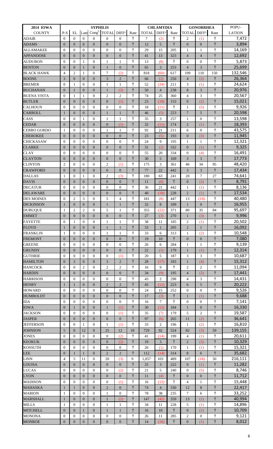| <b>2014 IOWA</b>   |                  |                  |                | <b>SYPHILIS</b>  |                                                |                  |            |              | <b>CHLAMYDIA</b>  |            |                  | <b>GONORRHEA</b>  |            | POPU-         |
|--------------------|------------------|------------------|----------------|------------------|------------------------------------------------|------------------|------------|--------------|-------------------|------------|------------------|-------------------|------------|---------------|
| <b>COUNTY</b>      | $P-S$            | EL               |                |                  | Late Cong <sup>#</sup> TOTAL DIFF <sup>1</sup> |                  | Rate       | <b>TOTAL</b> | DIFF <sup>1</sup> | Rate       | <b>TOTAL</b>     | DIFF <sup>1</sup> | Rate       | <b>LATION</b> |
| <b>ADAIR</b>       | $\overline{0}$   | $\Omega$         | $\Omega$       | $\overline{0}$   | $\theta$                                       | $\Omega$         | $\dagger$  | 7            | (2)               | $\dagger$  | $\overline{2}$   | (1)               | $\dagger$  | 7,472         |
| <b>ADAMS</b>       | $\overline{0}$   | $\overline{0}$   | $\overline{0}$ | $\overline{0}$   | $\boldsymbol{0}$                               | $\boldsymbol{0}$ | $\ddagger$ | 12           | 5                 | $\ddagger$ | $\overline{0}$   | $\overline{0}$    | $\ddagger$ | 3,894         |
| <b>ALLAMAKEE</b>   | $\theta$         | $\Omega$         | $\theta$       | $\overline{0}$   | $\mathbf{0}$                                   | $\mathbf{0}$     | $\ddagger$ | 29           | 15                | 205        | 1                | 1                 | $\dagger$  | 14,169        |
| <b>APPANOOSE</b>   | $\overline{0}$   | $\overline{0}$   | $\overline{0}$ | $\overline{0}$   | $\overline{0}$                                 | $\boldsymbol{0}$ | $\ddagger$ | 41           | 13                | 323        | $\overline{4}$   | $\overline{4}$    | $\dagger$  | 12,692        |
| <b>AUDUBON</b>     | $\overline{0}$   | $\Omega$         | $\mathbf{1}$   | $\overline{0}$   | $\mathbf{1}$                                   | $\mathbf{1}$     | $\dagger$  | 13           | (8)               | $\dagger$  | $\mathbf{0}$     | $\overline{0}$    | $\dagger$  | 5,873         |
| <b>BENTON</b>      | $\overline{0}$   | $\overline{0}$   | $\mathbf{1}$   | $\overline{0}$   | 1                                              | $\boldsymbol{0}$ | $\ddagger$ | 65           | 3                 | 253        | $\overline{4}$   | 3                 | $\ddagger$ | 25,699        |
| <b>BLACK HAWK</b>  | $\overline{4}$   | $\overline{2}$   | $\mathbf{1}$   | $\overline{0}$   | 7                                              | (2)              | $\dagger$  | 818          | (60)              | 617        | 199              | 110               | 150        | 132,546       |
| <b>BOONE</b>       | 3                | $\overline{0}$   | $\overline{0}$ | $\overline{0}$   | 3                                              | $\overline{2}$   | $\ddagger$ | 66           | (2)               | 250        | $\overline{4}$   | (2)               | $\dagger$  | 26,364        |
| <b>BREMER</b>      | $\overline{0}$   | 1                | $\mathbf{0}$   | $\overline{0}$   | $\mathbf{1}$                                   | $\mathbf{1}$     | $\ddagger$ | 52           | (24)              | 211        | 3                | (1)               | $\dagger$  | 24,624        |
| <b>BUCHANAN</b>    | $\overline{0}$   | $\mathbf{1}$     | $\mathbf{0}$   | $\overline{0}$   | $\mathbf{1}$                                   | (2)              | $\ddagger$ | 50           | $\overline{4}$    | 238        | 8                | 3                 | $\ddagger$ | 20,976        |
| <b>BUENA VISTA</b> | $\Omega$         | $\mathbf{1}$     | $\mathbf{1}$   | $\overline{0}$   | $\overline{c}$                                 | $\overline{2}$   | $\dagger$  | 74           | 25                | 360        | $\overline{4}$   | 3                 | $\dagger$  | 20,567        |
| <b>BUTLER</b>      | $\overline{0}$   | $\overline{0}$   | $\overline{0}$ | $\overline{0}$   | $\overline{0}$                                 | (1)              | $\ddagger$ | 23           | (18)              | 153        | $\mathbf{0}$     | (2)               | $\ddagger$ | 15,021        |
| <b>CALHOUN</b>     | $\overline{0}$   | $\overline{0}$   | $\theta$       | $\overline{0}$   | $\overline{0}$                                 | $\boldsymbol{0}$ | $\ddagger$ | 18           | (11)              | $\dagger$  | $\mathbf{1}$     | (5)               | $\ddagger$ | 9,926         |
| <b>CARROLL</b>     | $\mathbf{1}$     | $\Omega$         | $\mathbf{0}$   | $\overline{0}$   | 1                                              | $\mathbf{1}$     | $\ddagger$ | 46           | (5)               | 223        | $7\phantom{.0}$  | $\overline{5}$    | $\ddagger$ | 20,598        |
| CASS               | $\overline{0}$   | $\Omega$         | $\mathbf{1}$   | $\overline{0}$   | 1                                              | 1                | $\ddagger$ | 35           | 3                 | 257        | $\mathbf{1}$     | $\Omega$          | $\ddagger$ | 13,598        |
| <b>CEDAR</b>       | $\overline{0}$   | $\Omega$         | $\overline{0}$ | $\overline{0}$   | $\overline{0}$                                 | (1)              | $\ddagger$ | 32           | (11)              | 174        | $\overline{2}$   | (1)               | $\ddagger$ | 18,393        |
| CERRO GORDO        | 1                | $\Omega$         | $\mathbf{0}$   | $\overline{0}$   | 1                                              | 1                | $\dagger$  | 92           | 21                | 211        | 6                | $\theta$          | $\dagger$  | 43,575        |
| <b>CHEROKEE</b>    | $\overline{0}$   | $\overline{0}$   | $\overline{0}$ | $\mathbf{0}$     | $\overline{0}$                                 | $\boldsymbol{0}$ | $\ddagger$ | 23           | (5)               | 193        | $\boldsymbol{0}$ | (3)               | $\ddagger$ | 11,945        |
| <b>CHICKASAW</b>   | $\overline{0}$   | $\overline{0}$   | $\mathbf{0}$   | $\overline{0}$   | $\mathbf{0}$                                   | $\boldsymbol{0}$ | $\dagger$  | 24           | 9                 | 195        | 1                | 1                 | $\dagger$  | 12,321        |
| <b>CLARKE</b>      | $\overline{0}$   | $\overline{0}$   | $\overline{0}$ | $\overline{0}$   | $\overline{0}$                                 | $\boldsymbol{0}$ | $\ddagger$ | 31           | (2)               | 332        | $\mathbf{0}$     | (1)               | $\ddagger$ | 9,325         |
| <b>CLAY</b>        | $\Omega$         | $\Omega$         | $\overline{0}$ | $\overline{0}$   | $\theta$                                       | $\boldsymbol{0}$ | $\dagger$  | 55           | 20                | 334        | $\mathbf{0}$     | (4)               | $\dagger$  | 16,491        |
| <b>CLAYTON</b>     | $\overline{0}$   | $\overline{0}$   | $\overline{0}$ | $\overline{0}$   | $\overline{0}$                                 | $\overline{0}$   | $\ddagger$ | 30           | 5                 | 169        | 3                | $\overline{3}$    | $\ddagger$ | 17,773        |
| <b>CLINTON</b>     | $\overline{c}$   | $\Omega$         | $\mathbf{0}$   | $\overline{0}$   | $\mathfrak{2}$                                 | (1)              | $\ddagger$ | 175          | 3                 | 361        | 46               | 34                | 95         | 48,420        |
| <b>CRAWFORD</b>    | $\overline{0}$   | $\overline{0}$   | $\overline{0}$ | $\overline{0}$   | $\overline{0}$                                 | $\overline{0}$   | $\dagger$  | 77           | 22                | 442        | $\overline{3}$   | 3                 | $\dagger$  | 17,434        |
| <b>DALLAS</b>      | $\mathbf{1}$     | $\Omega$         | $\mathbf{1}$   | $\Omega$         | $\overline{c}$                                 | (3)              | $\dagger$  | 180          | 63                | 241        | 20               | $\tau$            | 27         | 74,641        |
| <b>DAVIS</b>       | $\overline{0}$   | $\overline{0}$   | $\overline{0}$ | $\mathbf{0}$     | $\overline{0}$                                 | $\boldsymbol{0}$ | $\ddagger$ | 11           | (6)               | $\dagger$  | $\mathbf{0}$     | (2)               | $\dagger$  | 8,791         |
| <b>DECATUR</b>     | $\overline{0}$   | $\overline{0}$   | $\mathbf{0}$   | $\overline{0}$   | $\overline{0}$                                 | $\overline{0}$   | $\dagger$  | 36           | 21                | 442        | $\mathbf{1}$     | (1)               | $\dagger$  | 8,136         |
| <b>DELAWARE</b>    | $\overline{0}$   | $\Omega$         | $\mathbf{0}$   | $\overline{0}$   | $\boldsymbol{0}$                               | $\overline{0}$   | $\ddagger$ | 40           | (18)              | 228        | $\overline{2}$   | (1)               | $\ddagger$ | 17,534        |
| <b>DES MOINES</b>  | $\overline{0}$   | $\overline{2}$   | 3              | $\overline{0}$   | 5                                              | $\overline{4}$   | $\dagger$  | 181          | (8)               | 447        | 13               | (19)              | $\dagger$  | 40,480        |
| <b>DICKINSON</b>   | $\mathbf{1}$     | $\Omega$         | $\overline{0}$ | $\overline{0}$   | 1                                              | $\mathbf{1}$     | $\ddagger$ | 32           | 8                 | 189        | 1                | $\Omega$          | $\ddagger$ | 16,955        |
| <b>DUBUQUE</b>     | 1                | $\overline{2}$   | $\overline{2}$ | $\overline{0}$   | 5                                              | $\mathbf{1}$     | $\dagger$  | 355          | (22)              | 371        | 80               | 35                | 84         | 95,697        |
| <b>EMMET</b>       | $\boldsymbol{0}$ | $\boldsymbol{0}$ | $\mathbf{0}$   | $\mathbf{0}$     | $\overline{0}$                                 | $\boldsymbol{0}$ | $\ddagger$ | 27           | (3)               | 270        | $\mathbf{1}$     | (3)               | $\dagger$  | 9,996         |
| <b>FAYETTE</b>     | $\Omega$         | $\mathbf{1}$     | $\Omega$       | $\Omega$         | 1                                              | $\mathbf{1}$     | $\dagger$  | 38           | 11                | 185        | $\overline{c}$   | (1)               | $\dagger$  | 20,502        |
| <b>FLOYD</b>       | $\mathbf{1}$     | $\overline{0}$   | $\overline{0}$ | $\overline{0}$   | $\mathbf{1}$                                   | $\mathbf{1}$     | $\ddagger$ | 33           | $\mathbf{1}$      | 205        | $\overline{2}$   | $\mathbf{1}$      | $\ddagger$ | 16,092        |
| FRANKLIN           | $\mathbf{1}$     | $\Omega$         | $\overline{0}$ | $\overline{0}$   | 1                                              | $\mathbf{1}$     | $\dagger$  | 33           | 6                 | 313        | 1                | (2)               | $\dagger$  | 10,548        |
| <b>FREMONT</b>     | $\overline{0}$   | $\overline{0}$   | $\overline{0}$ | $\overline{0}$   | $\boldsymbol{0}$                               | $\overline{0}$   | $\ddagger$ | 19           | 10                | $\ddagger$ | $\boldsymbol{0}$ | $\overline{0}$    | $\ddagger$ | 7,080         |
| <b>GREENE</b>      | $\overline{0}$   | $\Omega$         | $\mathbf{0}$   | $\overline{0}$   | $\overline{0}$                                 | $\overline{0}$   | $\ddagger$ | 26           | 6                 | 284        | $\mathbf{1}$     | 1                 | $\ddagger$ | 9,139         |
| <b>GRUNDY</b>      | $\boldsymbol{0}$ | $\overline{0}$   | $\mathbf{0}$   | $\overline{0}$   | $\boldsymbol{0}$                               | $\boldsymbol{0}$ | $\ddagger$ | 22           | (1)               | 179        | $\mathbf{1}$     | (1)               | $\dagger$  | 12,314        |
| <b>GUTHRIE</b>     | $\Omega$         | $\overline{0}$   | $\overline{0}$ | $\overline{0}$   | $\boldsymbol{0}$                               | (1)              | $\ddagger$ | 20           | 5                 | 187        | 3                | 3                 | $\dagger$  | 10,687        |
| <b>HAMILTON</b>    | $\overline{0}$   | 3                | $\overline{0}$ | $\mathbf{0}$     | 3                                              | $\overline{2}$   | $\ddagger$ | 28           | (17)              | 183        | 1                | (4)               | $\dagger$  | 15,312        |
| <b>HANCOCK</b>     | $\overline{0}$   | $\overline{0}$   | $\mathfrak{2}$ | $\overline{0}$   | $\overline{c}$                                 | $\mathfrak{2}$   | $\dagger$  | 16           | 9                 | $\dagger$  | $\mathfrak{2}$   | 2                 | $\dagger$  | 11,094        |
| <b>HARDIN</b>      | $\overline{0}$   | $\overline{0}$   | $\overline{0}$ | $\overline{0}$   | $\overline{0}$                                 | $\boldsymbol{0}$ | $\ddagger$ | 34           | (9)               | 195        | $\overline{4}$   | (2)               | $\ddagger$ | 17,441        |
| <b>HARRISON</b>    | $\overline{0}$   | $\overline{0}$   | $\mathbf{0}$   | $\overline{0}$   | $\overline{0}$                                 | $\overline{0}$   | $\dagger$  | 43           | $\overline{2}$    | 298        | $\overline{4}$   | 3                 | $\dagger$  | 14,431        |
| <b>HENRY</b>       | 1                | $\mathbf{1}$     | $\overline{0}$ | $\overline{0}$   | $\overline{c}$                                 | $\overline{c}$   | $\ddagger$ | 45           | (11)              | 223        | 6                | 5                 | $\ddagger$ | 20,222        |
| <b>HOWARD</b>      | $\overline{0}$   | $\overline{0}$   | $\overline{0}$ | $\overline{0}$   | $\boldsymbol{0}$                               | $\boldsymbol{0}$ | $\dagger$  | 24           | 15                | 252        | $\overline{0}$   | $\Omega$          | $\dagger$  | 9,526         |
| <b>HUMBOLDT</b>    | $\overline{0}$   | $\overline{0}$   | $\mathbf{0}$   | $\overline{0}$   | $\overline{0}$                                 | $\boldsymbol{0}$ | $\ddagger$ | 17           | (3)               | $\dagger$  | $\mathbf{1}$     | (1)               | $\ddagger$ | 9,688         |
| <b>IDA</b>         | $\overline{0}$   | $\overline{0}$   | $\theta$       | $\overline{0}$   | $\overline{0}$                                 | $\theta$         | $\dagger$  | 16           | $\overline{7}$    | $\dagger$  | $\overline{0}$   | $\overline{0}$    | $\dagger$  | 7,141         |
| <b>IOWA</b>        | $\overline{0}$   | $\mathbf{1}$     | $\overline{0}$ | $\overline{0}$   | $\mathbf{1}$                                   | (1)              | $\ddagger$ | 30           | (15)              | 184        | $\mathbf{1}$     | $\overline{0}$    | $\ddagger$ | 16,330        |
| <b>JACKSON</b>     | $\overline{0}$   | $\overline{0}$   | $\mathbf{0}$   | $\overline{0}$   | $\boldsymbol{0}$                               | (1)              | $\dagger$  | 35           | (7)               | 179        | 5                | $\overline{2}$    | $\dagger$  | 19,587        |
| <b>JASPER</b>      | $\overline{0}$   | $\overline{0}$   | $\overline{0}$ | $\overline{0}$   | $\boldsymbol{0}$                               | $\boldsymbol{0}$ | $\ddagger$ | 97           | (6)               | 265        | 11               | (2)               | $\ddagger$ | 36,641        |
| <b>JEFFERSON</b>   | $\overline{0}$   | $\overline{0}$   | $\mathbf{1}$   | $\boldsymbol{0}$ | 1                                              | (1)              | $\dagger$  | 33           | $\overline{2}$    | 196        | 1                | (2)               | $\dagger$  | 16,810        |
| <b>JOHNSON</b>     | 5                | 8                | 12             | $\overline{0}$   | 25                                             | 12               | 18         | 729          | 92                | 524        | 82               | (3)               | 59         | 139,155       |
| <b>JONES</b>       | $\overline{0}$   | $\Omega$         | $\theta$       | $\overline{0}$   | $\boldsymbol{0}$                               | (2)              | $\dagger$  | 41           | (14)              | 199        | $\overline{4}$   | (1)               | $\dagger$  | 20,611        |
| <b>KEOKUK</b>      | $\overline{0}$   | $\overline{0}$   | $\overline{0}$ | $\mathbf{0}$     | $\overline{0}$                                 | (2)              | $\dagger$  | 19           | 3                 | $\dagger$  | $\overline{2}$   | (3)               | $\dagger$  | 10,329        |
| <b>KOSSUTH</b>     | $\overline{0}$   | $\overline{0}$   | $\mathbf{0}$   | $\mathbf{0}$     | $\overline{0}$                                 | $\boldsymbol{0}$ | $\dagger$  | 26           | (1)               | 170        | 1                | (1)               | $\dagger$  | 15,321        |
| <b>LEE</b>         | $\boldsymbol{0}$ | $\mathbf{1}$     | $\mathbf{1}$   | $\overline{0}$   | $\overline{c}$                                 | $\sqrt{2}$       | $\ddagger$ | 112          | (14)              | 314        | 8                | 6                 | $\ddagger$ | 35,682        |
| <b>LINN</b>        | $\overline{4}$   | 5                | 11             | $\overline{0}$   | 20                                             | (3)              | 9          | 1,057        | 103               | 489        | 107              | (18)              | 50         | 216,111       |
| <b>LOUISA</b>      | $\overline{0}$   | $\overline{0}$   | $\overline{0}$ | $\overline{0}$   | $\overline{0}$                                 | $\overline{0}$   | $\ddagger$ | 25           | 3                 | 222        | $\mathbf{0}$     | (1)               | $\dagger$  | 11,282        |
| <b>LUCAS</b>       | $\overline{0}$   | $\Omega$         | $\mathbf{0}$   | $\overline{0}$   | $\boldsymbol{0}$                               | (2)              | $\dagger$  | 21           | 5                 | 240        | $\mathbf{0}$     | (5)               | $\dagger$  | 8,746         |
| <b>LYON</b>        | $\overline{0}$   | $\overline{0}$   | $\mathbf{0}$   | $\overline{0}$   | $\overline{0}$                                 | $\boldsymbol{0}$ | $\dagger$  | 11           | (4)               | ŧ          | $\overline{0}$   | $\overline{0}$    | $\dagger$  | 11,712        |
| <b>MADISON</b>     | $\overline{0}$   | $\overline{0}$   | $\Omega$       | $\overline{0}$   | $\mathbf{0}$                                   | (1)              | $\dagger$  | 16           | (12)              | $\dagger$  | $\overline{4}$   | 1                 | $\dagger$  | 15,448        |
| <b>MAHASKA</b>     | $\mathbf{1}$     | $\mathbf{1}$     | $\overline{0}$ | $\mathbf{0}$     | $\overline{2}$                                 | $\boldsymbol{0}$ | $\ddagger$ | 74           | $\overline{4}$    | 330        | 12               | 8                 | $\ddagger$ | 22,417        |
| <b>MARION</b>      | $\mathbf{1}$     | $\overline{0}$   | $\theta$       | $\overline{0}$   | 1                                              | $\boldsymbol{0}$ | $\ddagger$ | 78           | 38                | 235        | $\tau$           | 6                 | $\dagger$  | 33,252        |
| <b>MARSHALL</b>    | $\mathbf{1}$     | $\Omega$         | $\overline{0}$ | $\overline{0}$   | 1                                              | (2)              | $\ddagger$ | 147          | (42)              | 359        | 13               | (1)               | $\ddagger$ | 40,994        |
| <b>MILLS</b>       | $\mathbf{1}$     | $\overline{0}$   | $\theta$       | $\overline{0}$   | 1                                              | 1                | $\dagger$  | 34           | 11                | 228        | 5                | (1)               | $\dagger$  | 14,896        |
| <b>MITCHELL</b>    | $\overline{0}$   | $\overline{0}$   | $\mathbf{1}$   | $\overline{0}$   | 1                                              | $\mathbf{1}$     | $\ddagger$ | 16           | 10                | $\dagger$  | $\boldsymbol{0}$ | (1)               | $\ddagger$ | 10,709        |
| <b>MONONA</b>      | 0                | $\overline{0}$   | $\mathbf{0}$   | 0                | $\boldsymbol{0}$                               | $\boldsymbol{0}$ | $\dagger$  | 26           | 11                | 285        | $\overline{2}$   | 0                 | t          | 9,121         |
| <b>MONROE</b>      | $\overline{0}$   | $\boldsymbol{0}$ | $\overline{0}$ | $\boldsymbol{0}$ | $\overline{0}$                                 | $\boldsymbol{0}$ | $\ddagger$ | 14           | (16)              | $\dagger$  | $\boldsymbol{0}$ | (1)               | $\ddagger$ | 8,012         |